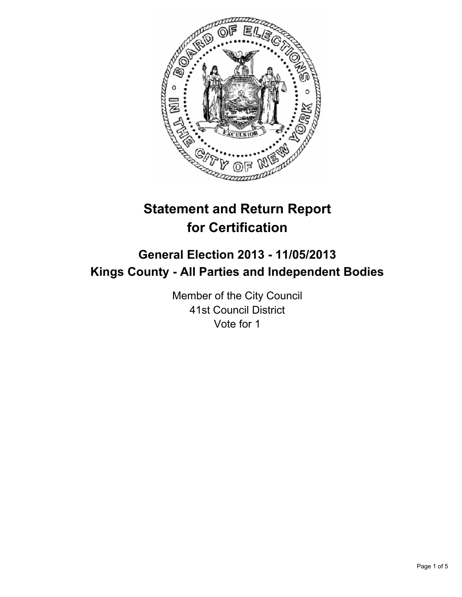

# **Statement and Return Report for Certification**

## **General Election 2013 - 11/05/2013 Kings County - All Parties and Independent Bodies**

Member of the City Council 41st Council District Vote for 1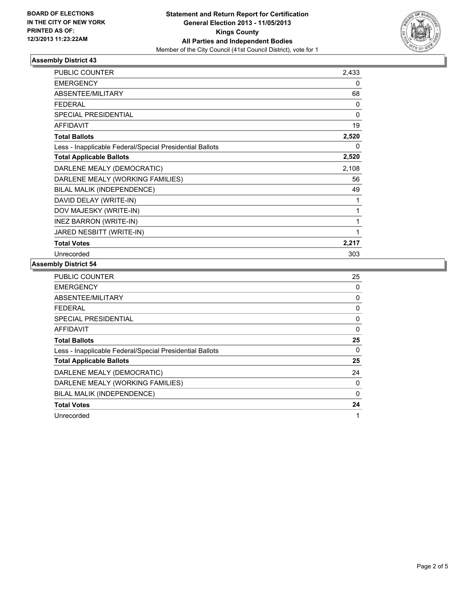

### **Assembly District 43**

| <b>PUBLIC COUNTER</b>                                    | 2,433 |
|----------------------------------------------------------|-------|
| <b>EMERGENCY</b>                                         | 0     |
| <b>ABSENTEE/MILITARY</b>                                 | 68    |
| <b>FEDERAL</b>                                           | 0     |
| <b>SPECIAL PRESIDENTIAL</b>                              | 0     |
| <b>AFFIDAVIT</b>                                         | 19    |
| <b>Total Ballots</b>                                     | 2,520 |
| Less - Inapplicable Federal/Special Presidential Ballots | 0     |
| <b>Total Applicable Ballots</b>                          | 2,520 |
| DARLENE MEALY (DEMOCRATIC)                               | 2,108 |
| DARLENE MEALY (WORKING FAMILIES)                         | 56    |
| BILAL MALIK (INDEPENDENCE)                               | 49    |
| DAVID DELAY (WRITE-IN)                                   | 1     |
| DOV MAJESKY (WRITE-IN)                                   | 1     |
| INEZ BARRON (WRITE-IN)                                   | 1     |
| JARED NESBITT (WRITE-IN)                                 | 1     |
| <b>Total Votes</b>                                       | 2,217 |
| Unrecorded                                               | 303   |

#### **Assembly District 54**

| <b>PUBLIC COUNTER</b>                                    | 25 |
|----------------------------------------------------------|----|
| <b>EMERGENCY</b>                                         | 0  |
| ABSENTEE/MILITARY                                        | 0  |
| <b>FEDERAL</b>                                           | 0  |
| SPECIAL PRESIDENTIAL                                     | 0  |
| AFFIDAVIT                                                | 0  |
| <b>Total Ballots</b>                                     | 25 |
| Less - Inapplicable Federal/Special Presidential Ballots | 0  |
| <b>Total Applicable Ballots</b>                          | 25 |
| DARLENE MEALY (DEMOCRATIC)                               | 24 |
| DARLENE MEALY (WORKING FAMILIES)                         | 0  |
| BILAL MALIK (INDEPENDENCE)                               | 0  |
| <b>Total Votes</b>                                       | 24 |
| Unrecorded                                               | 1  |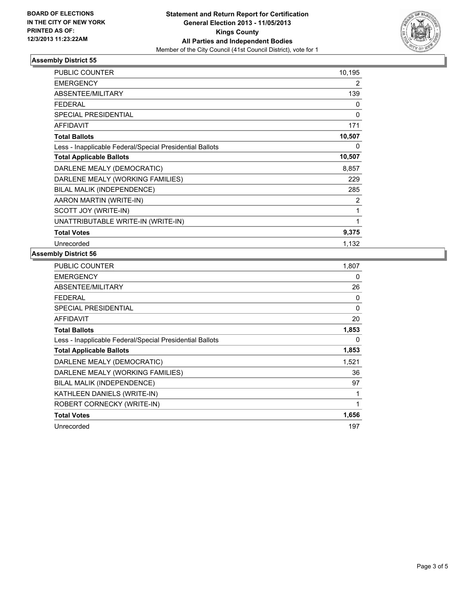

### **Assembly District 55**

| <b>PUBLIC COUNTER</b>                                    | 10,195 |
|----------------------------------------------------------|--------|
| <b>EMERGENCY</b>                                         | 2      |
| ABSENTEE/MILITARY                                        | 139    |
| <b>FEDERAL</b>                                           | 0      |
| SPECIAL PRESIDENTIAL                                     | 0      |
| <b>AFFIDAVIT</b>                                         | 171    |
| <b>Total Ballots</b>                                     | 10,507 |
| Less - Inapplicable Federal/Special Presidential Ballots | 0      |
| <b>Total Applicable Ballots</b>                          | 10,507 |
| DARLENE MEALY (DEMOCRATIC)                               | 8,857  |
| DARLENE MEALY (WORKING FAMILIES)                         | 229    |
| BILAL MALIK (INDEPENDENCE)                               | 285    |
| AARON MARTIN (WRITE-IN)                                  | 2      |
| SCOTT JOY (WRITE-IN)                                     | 1      |
| UNATTRIBUTABLE WRITE-IN (WRITE-IN)                       | 1      |
| <b>Total Votes</b>                                       | 9,375  |
| Unrecorded                                               | 1,132  |

## **Assembly District 56**

| PUBLIC COUNTER                                           | 1,807 |
|----------------------------------------------------------|-------|
| <b>EMERGENCY</b>                                         | 0     |
| <b>ABSENTEE/MILITARY</b>                                 | 26    |
| <b>FEDERAL</b>                                           | 0     |
| <b>SPECIAL PRESIDENTIAL</b>                              | 0     |
| <b>AFFIDAVIT</b>                                         | 20    |
| <b>Total Ballots</b>                                     | 1,853 |
| Less - Inapplicable Federal/Special Presidential Ballots | 0     |
| <b>Total Applicable Ballots</b>                          | 1,853 |
| DARLENE MEALY (DEMOCRATIC)                               | 1,521 |
| DARLENE MEALY (WORKING FAMILIES)                         | 36    |
| BILAL MALIK (INDEPENDENCE)                               | 97    |
| KATHLEEN DANIELS (WRITE-IN)                              | 1     |
| ROBERT CORNECKY (WRITE-IN)                               | 1     |
| <b>Total Votes</b>                                       | 1,656 |
| Unrecorded                                               | 197   |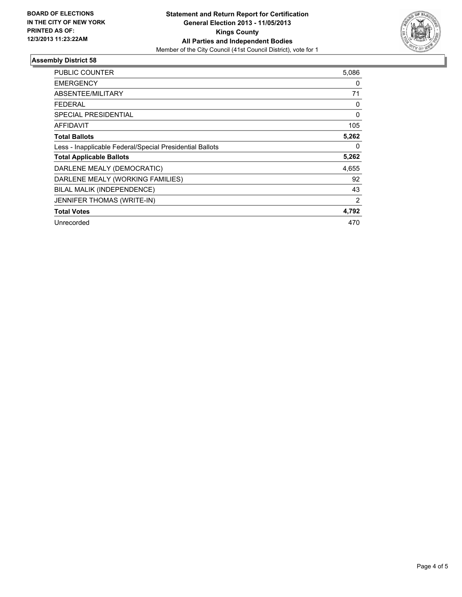

### **Assembly District 58**

| <b>PUBLIC COUNTER</b>                                    | 5,086          |
|----------------------------------------------------------|----------------|
| <b>EMERGENCY</b>                                         | 0              |
| <b>ABSENTEE/MILITARY</b>                                 | 71             |
| <b>FEDERAL</b>                                           | 0              |
| <b>SPECIAL PRESIDENTIAL</b>                              | $\Omega$       |
| <b>AFFIDAVIT</b>                                         | 105            |
| <b>Total Ballots</b>                                     | 5,262          |
| Less - Inapplicable Federal/Special Presidential Ballots | 0              |
| <b>Total Applicable Ballots</b>                          | 5,262          |
| DARLENE MEALY (DEMOCRATIC)                               | 4,655          |
| DARLENE MEALY (WORKING FAMILIES)                         | 92             |
| BILAL MALIK (INDEPENDENCE)                               | 43             |
| JENNIFER THOMAS (WRITE-IN)                               | $\overline{2}$ |
| <b>Total Votes</b>                                       | 4,792          |
| Unrecorded                                               | 470            |